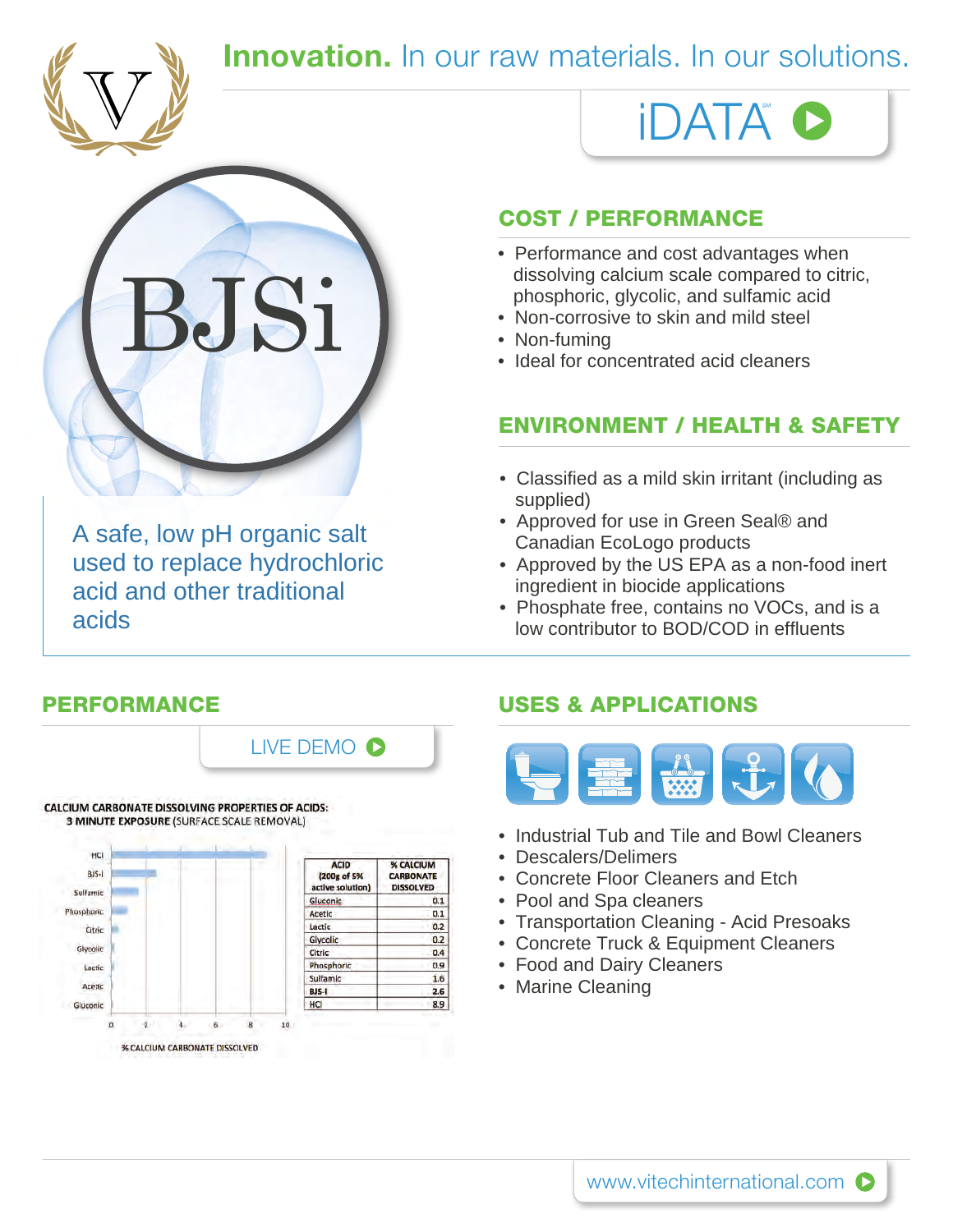

### **Innovation.** In our raw materials. In our solutions.



A safe, low pH organic salt used to replace hydrochloric acid and other traditional acids

# iDATA

#### COST / PERFORMANCE

- dissolving calcium scale compared to citric, phosphoric, glycolic, and sulfamic acid
- Non-corrosive to skin and mild steel
- Non-fuming
- Ideal for concentrated acid cleaners

#### ENVIRONMENT / HEALTH & SAFETY

- Classified as a mild skin irritant (including as supplied)
- Approved for use in Green Seal® and Canadian EcoLogo products
- Approved by the US EPA as a non-food inert ingredient in biocide applications
- Phosphate free, contains no VOCs, and is a low contributor to BOD/COD in effluents

Glycolin

Lactic

Acetic

 $\alpha$ 

a.

% CALCIUM CARBONATE DISSOLVED

 $\overline{h}$ 

Gluconic



Citric

BJS-T

HCI

 $10^{-1}$ 

Phosphoric

Sulfamic

 $0.4$ 

0.9

1.6

 $2.6$ 

8.9

#### PERFORMANCE USES & APPLICATIONS



- Industrial Tub and Tile and Bowl Cleaners
- Descalers/Delimers
- Concrete Floor Cleaners and Etch
- Pool and Spa cleaners
- Transportation Cleaning Acid Presoaks
- Concrete Truck & Equipment Cleaners
- Food and Dairy Cleaners
- Marine Cleaning